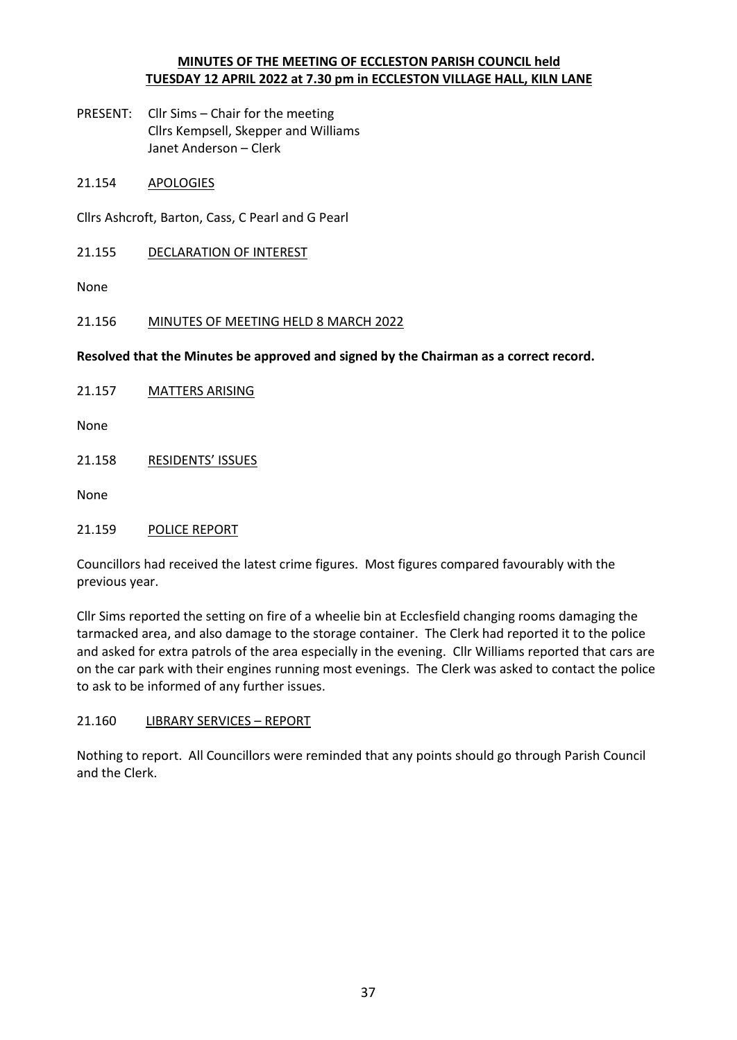## **MINUTES OF THE MEETING OF ECCLESTON PARISH COUNCIL held TUESDAY 12 APRIL 2022 at 7.30 pm in ECCLESTON VILLAGE HALL, KILN LANE**

- PRESENT: Cllr Sims Chair for the meeting Cllrs Kempsell, Skepper and Williams Janet Anderson – Clerk
- 21.154 APOLOGIES

Cllrs Ashcroft, Barton, Cass, C Pearl and G Pearl

21.155 DECLARATION OF INTEREST

None

### 21.156 MINUTES OF MEETING HELD 8 MARCH 2022

### **Resolved that the Minutes be approved and signed by the Chairman as a correct record.**

21.157 MATTERS ARISING

None

21.158 RESIDENTS' ISSUES

None

### 21.159 POLICE REPORT

Councillors had received the latest crime figures. Most figures compared favourably with the previous year.

Cllr Sims reported the setting on fire of a wheelie bin at Ecclesfield changing rooms damaging the tarmacked area, and also damage to the storage container. The Clerk had reported it to the police and asked for extra patrols of the area especially in the evening. Cllr Williams reported that cars are on the car park with their engines running most evenings. The Clerk was asked to contact the police to ask to be informed of any further issues.

### 21.160 LIBRARY SERVICES – REPORT

Nothing to report. All Councillors were reminded that any points should go through Parish Council and the Clerk.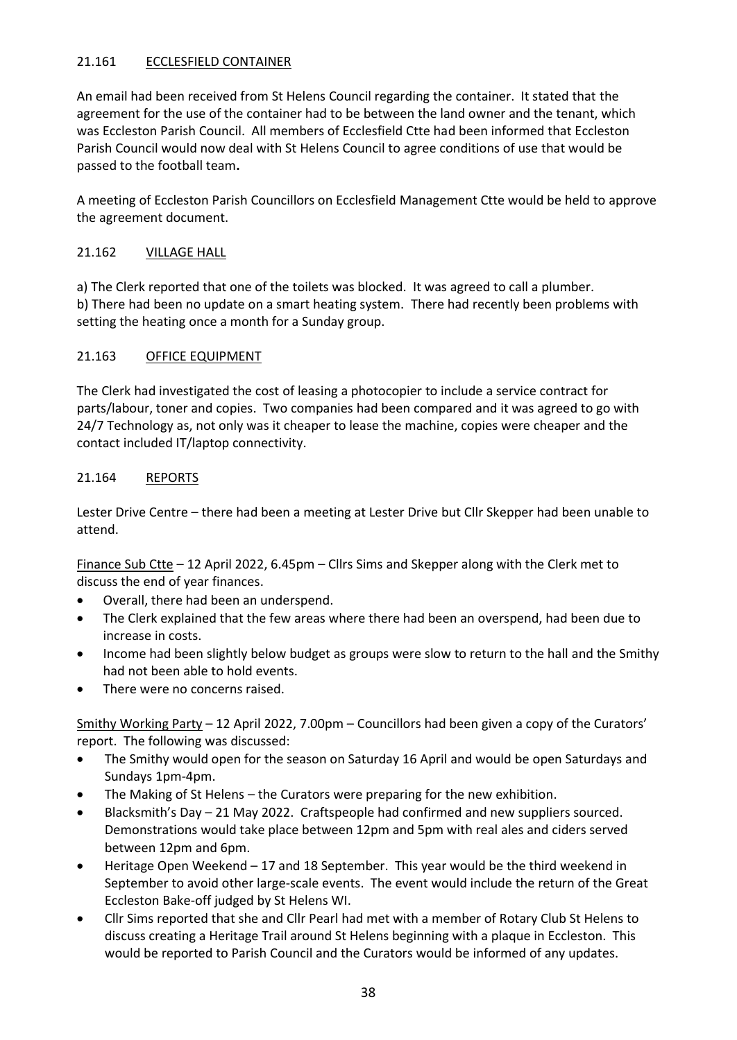# 21.161 ECCLESFIELD CONTAINER

An email had been received from St Helens Council regarding the container. It stated that the agreement for the use of the container had to be between the land owner and the tenant, which was Eccleston Parish Council. All members of Ecclesfield Ctte had been informed that Eccleston Parish Council would now deal with St Helens Council to agree conditions of use that would be passed to the football team**.** 

A meeting of Eccleston Parish Councillors on Ecclesfield Management Ctte would be held to approve the agreement document.

### 21.162 VILLAGE HALL

a) The Clerk reported that one of the toilets was blocked. It was agreed to call a plumber. b) There had been no update on a smart heating system. There had recently been problems with setting the heating once a month for a Sunday group.

### 21.163 OFFICE EQUIPMENT

The Clerk had investigated the cost of leasing a photocopier to include a service contract for parts/labour, toner and copies. Two companies had been compared and it was agreed to go with 24/7 Technology as, not only was it cheaper to lease the machine, copies were cheaper and the contact included IT/laptop connectivity.

## 21.164 REPORTS

Lester Drive Centre – there had been a meeting at Lester Drive but Cllr Skepper had been unable to attend.

Finance Sub Ctte – 12 April 2022, 6.45pm – Cllrs Sims and Skepper along with the Clerk met to discuss the end of year finances.

- Overall, there had been an underspend.
- The Clerk explained that the few areas where there had been an overspend, had been due to increase in costs.
- Income had been slightly below budget as groups were slow to return to the hall and the Smithy had not been able to hold events.
- There were no concerns raised.

Smithy Working Party – 12 April 2022, 7.00pm – Councillors had been given a copy of the Curators' report. The following was discussed:

- The Smithy would open for the season on Saturday 16 April and would be open Saturdays and Sundays 1pm-4pm.
- The Making of St Helens the Curators were preparing for the new exhibition.
- Blacksmith's Day 21 May 2022. Craftspeople had confirmed and new suppliers sourced. Demonstrations would take place between 12pm and 5pm with real ales and ciders served between 12pm and 6pm.
- Heritage Open Weekend 17 and 18 September. This year would be the third weekend in September to avoid other large-scale events. The event would include the return of the Great Eccleston Bake-off judged by St Helens WI.
- Cllr Sims reported that she and Cllr Pearl had met with a member of Rotary Club St Helens to discuss creating a Heritage Trail around St Helens beginning with a plaque in Eccleston. This would be reported to Parish Council and the Curators would be informed of any updates.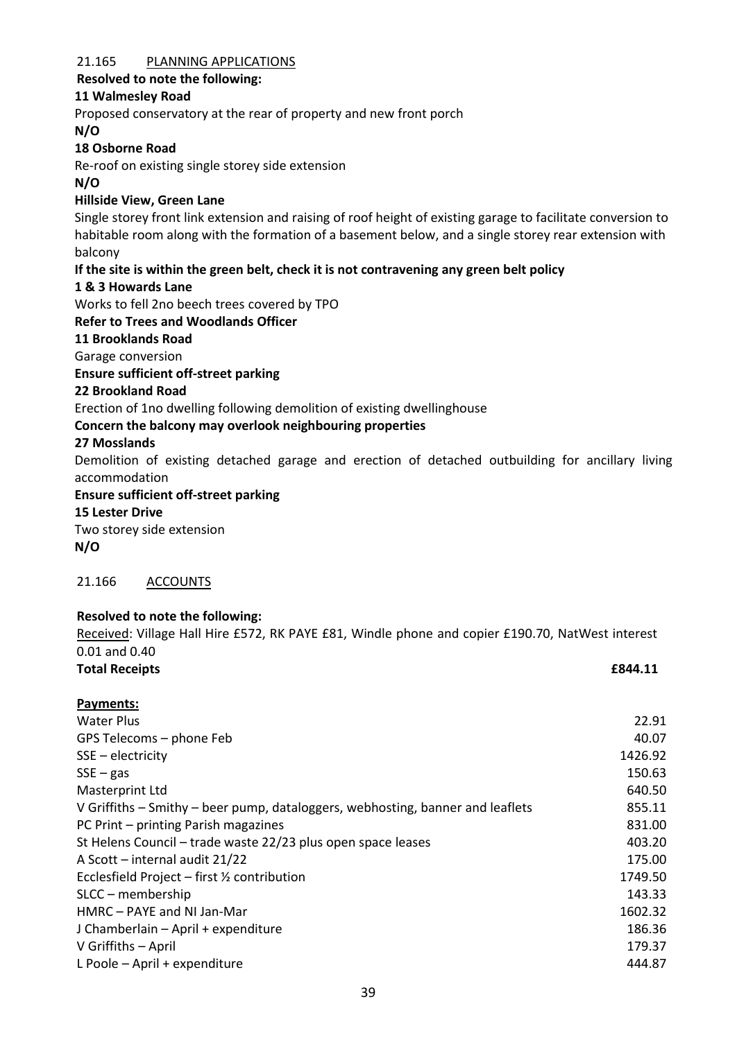# 21.165 PLANNING APPLICATIONS

## **Resolved to note the following:**

## **11 Walmesley Road**

Proposed conservatory at the rear of property and new front porch

**N/O**

### **18 Osborne Road**

Re-roof on existing single storey side extension

**N/O**

# **Hillside View, Green Lane**

Single storey front link extension and raising of roof height of existing garage to facilitate conversion to habitable room along with the formation of a basement below, and a single storey rear extension with balcony

# **If the site is within the green belt, check it is not contravening any green belt policy**

## **1 & 3 Howards Lane**

Works to fell 2no beech trees covered by TPO

## **Refer to Trees and Woodlands Officer**

### **11 Brooklands Road**

Garage conversion

**Ensure sufficient off-street parking**

### **22 Brookland Road**

Erection of 1no dwelling following demolition of existing dwellinghouse

## **Concern the balcony may overlook neighbouring properties**

## **27 Mosslands**

Demolition of existing detached garage and erection of detached outbuilding for ancillary living accommodation

**Ensure sufficient off-street parking**

### **15 Lester Drive**

Two storey side extension **N/O**

## 21.166 ACCOUNTS

### **Resolved to note the following:**

Received: Village Hall Hire £572, RK PAYE £81, Windle phone and copier £190.70, NatWest interest 0.01 and 0.40

| <b>Total Receipts</b>                                                          | £844.11 |
|--------------------------------------------------------------------------------|---------|
| Payments:                                                                      |         |
| Water Plus                                                                     | 22.91   |
| GPS Telecoms - phone Feb                                                       | 40.07   |
| SSE – electricity                                                              | 1426.92 |
| $SSE - gas$                                                                    | 150.63  |
| Masterprint Ltd                                                                | 640.50  |
| V Griffiths – Smithy – beer pump, dataloggers, webhosting, banner and leaflets | 855.11  |
| PC Print – printing Parish magazines                                           | 831.00  |
| St Helens Council – trade waste 22/23 plus open space leases                   | 403.20  |
| A Scott – internal audit 21/22                                                 | 175.00  |
| Ecclesfield Project - first 1/2 contribution                                   | 1749.50 |
| SLCC – membership                                                              | 143.33  |
| HMRC - PAYE and NI Jan-Mar                                                     | 1602.32 |
| J Chamberlain – April + expenditure                                            | 186.36  |
| V Griffiths - April                                                            | 179.37  |
| L Poole - April + expenditure                                                  | 444.87  |